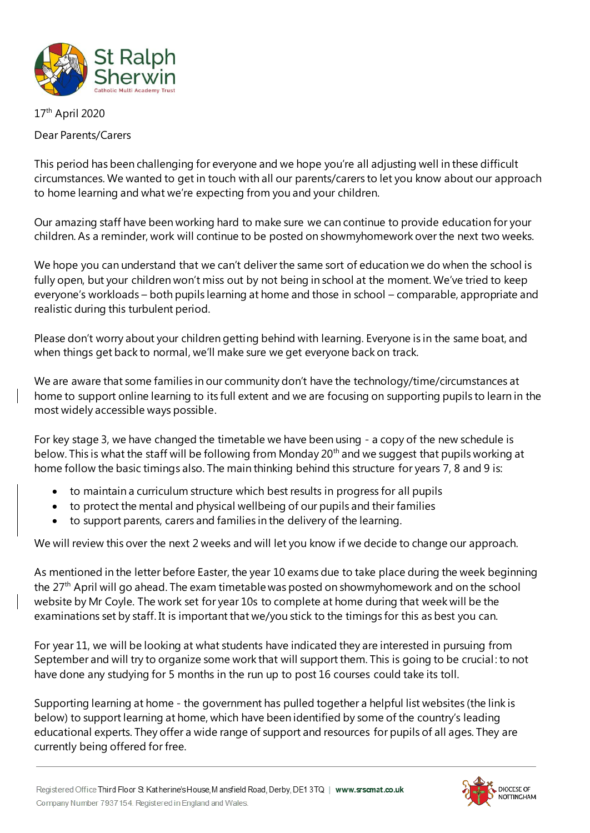

## 17th April 2020

## Dear Parents/Carers

This period has been challenging for everyone and we hope you're all adjusting well in these difficult circumstances. We wanted to get in touch with all our parents/carers to let you know about our approach to home learning and what we're expecting from you and your children.

Our amazing staff have been working hard to make sure we can continue to provide education for your children. As a reminder, work will continue to be posted on showmyhomework over the next two weeks.

We hope you can understand that we can't deliver the same sort of education we do when the school is fully open, but your children won't miss out by not being in school at the moment. We've tried to keep everyone's workloads – both pupils learning at home and those in school – comparable, appropriate and realistic during this turbulent period.

Please don't worry about your children getting behind with learning. Everyone is in the same boat, and when things get back to normal, we'll make sure we get everyone back on track.

We are aware that some families in our community don't have the technology/time/circumstances at home to support online learning to its full extent and we are focusing on supporting pupils to learn in the most widely accessible ways possible.

For key stage 3, we have changed the timetable we have been using - a copy of the new schedule is below. This is what the staff will be following from Monday 20<sup>th</sup> and we suggest that pupils working at home follow the basic timings also. The main thinking behind this structure for years 7, 8 and 9 is:

- to maintain a curriculum structure which best results in progress for all pupils
- to protect the mental and physical wellbeing of our pupils and their families
- to support parents, carers and families in the delivery of the learning.

We will review this over the next 2 weeks and will let you know if we decide to change our approach.

As mentioned in the letter before Easter, the year 10 exams due to take place during the week beginning the 27th April will go ahead. The exam timetable was posted on showmyhomework and on the school website by Mr Coyle. The work set for year 10s to complete at home during that week will be the examinations set by staff. It is important that we/you stick to the timings for this as best you can.

For year 11, we will be looking at what students have indicated they are interested in pursuing from September and will try to organize some work that will support them. This is going to be crucial : to not have done any studying for 5 months in the run up to post 16 courses could take its toll.

Supporting learning at home - the government has pulled together a helpful list websites (the link is below) to support learning at home, which have been identified by some of the country's leading educational experts. They offer a wide range of support and resources for pupils of all ages. They are currently being offered for free.

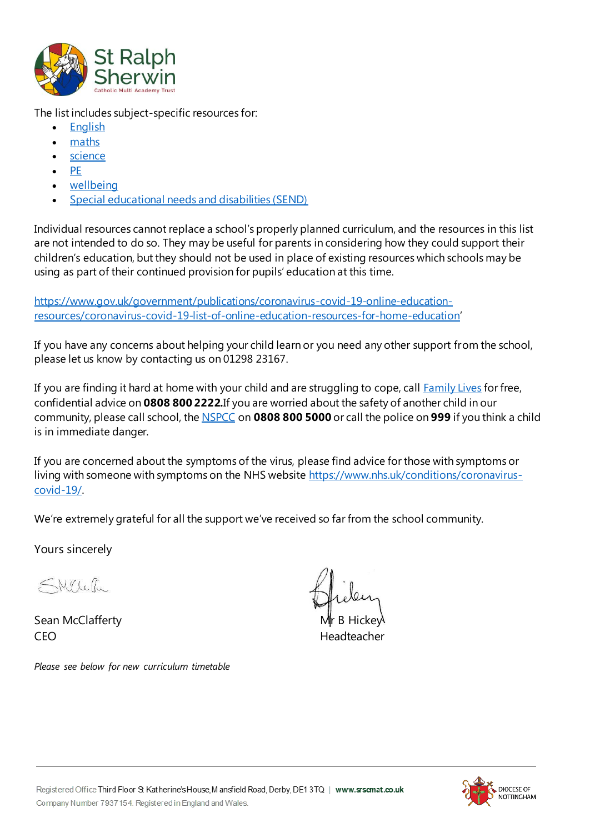

The list includes subject-specific resources for:

- [English](https://www.gov.uk/government/publications/coronavirus-covid-19-online-education-resources/coronavirus-covid-19-list-of-online-education-resources-for-home-education#english)
- [maths](https://www.gov.uk/government/publications/coronavirus-covid-19-online-education-resources/coronavirus-covid-19-list-of-online-education-resources-for-home-education#maths)
- [science](https://www.gov.uk/government/publications/coronavirus-covid-19-online-education-resources/coronavirus-covid-19-list-of-online-education-resources-for-home-education#science)
- [PE](https://www.gov.uk/government/publications/coronavirus-covid-19-online-education-resources/coronavirus-covid-19-list-of-online-education-resources-for-home-education#physical-education-pe-and-physical-activity)
- [wellbeing](https://www.gov.uk/government/publications/coronavirus-covid-19-online-education-resources/coronavirus-covid-19-list-of-online-education-resources-for-home-education#mental-wellbeing)
- [Special educational needs and disabilities \(SEND\)](https://www.gov.uk/government/publications/coronavirus-covid-19-online-education-resources/coronavirus-covid-19-list-of-online-education-resources-for-home-education#special-educational-needs-and-disabilities-send)

Individual resources cannot replace a school's properly planned curriculum, and the resources in this list are not intended to do so. They may be useful for parents in considering how they could support their children's education, but they should not be used in place of existing resources which schools may be using as part of their continued provision for pupils' education at this time.

[https://www.gov.uk/government/publications/coronavirus-covid-19-online-education](https://www.gov.uk/government/publications/coronavirus-covid-19-online-education-resources/coronavirus-covid-19-list-of-online-education-resources-for-home-education)[resources/coronavirus-covid-19-list-of-online-education-resources-for-home-education](https://www.gov.uk/government/publications/coronavirus-covid-19-online-education-resources/coronavirus-covid-19-list-of-online-education-resources-for-home-education)'

If you have any concerns about helping your child learn or you need any other support from the school, please let us know by contacting us on 01298 23167.

If you are finding it hard at home with your child and are struggling to cope, call **Family Lives** for free, confidential advice on **0808 800 2222.**If you are worried about the safety of another child in our community, please call school, th[e NSPCC](https://www.nspcc.org.uk/what-you-can-do/get-advice-and-support/) on **0808 800 5000** or call the police on **999** if you think a child is in immediate danger.

If you are concerned about the symptoms of the virus, please find advice for those with symptoms or living with someone with symptoms on the NHS website [https://www.nhs.uk/conditions/coronavirus](https://www.nhs.uk/conditions/coronavirus-covid-19/)[covid-19/.](https://www.nhs.uk/conditions/coronavirus-covid-19/)

We're extremely grateful for all the support we've received so far from the school community.

Yours sincerely

SMYLeth

Sean McClafferty CEO Headteacher

*Please see below for new curriculum timetable*